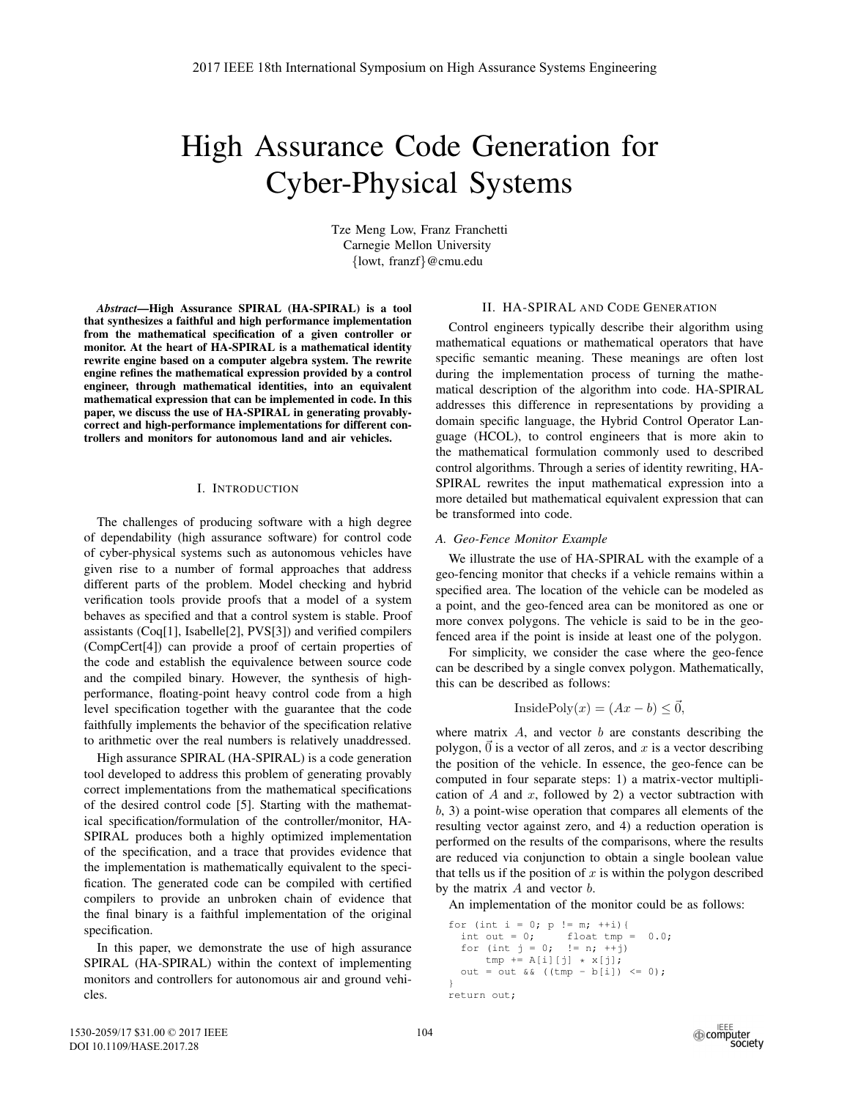# High Assurance Code Generation for Cyber-Physical Systems

Tze Meng Low, Franz Franchetti Carnegie Mellon University {lowt, franzf}@cmu.edu

*Abstract*—High Assurance SPIRAL (HA-SPIRAL) is a tool that synthesizes a faithful and high performance implementation from the mathematical specification of a given controller or monitor. At the heart of HA-SPIRAL is a mathematical identity rewrite engine based on a computer algebra system. The rewrite engine refines the mathematical expression provided by a control engineer, through mathematical identities, into an equivalent mathematical expression that can be implemented in code. In this paper, we discuss the use of HA-SPIRAL in generating provablycorrect and high-performance implementations for different controllers and monitors for autonomous land and air vehicles.

### I. INTRODUCTION

The challenges of producing software with a high degree of dependability (high assurance software) for control code of cyber-physical systems such as autonomous vehicles have given rise to a number of formal approaches that address different parts of the problem. Model checking and hybrid verification tools provide proofs that a model of a system behaves as specified and that a control system is stable. Proof assistants (Coq[1], Isabelle[2], PVS[3]) and verified compilers (CompCert[4]) can provide a proof of certain properties of the code and establish the equivalence between source code and the compiled binary. However, the synthesis of highperformance, floating-point heavy control code from a high level specification together with the guarantee that the code faithfully implements the behavior of the specification relative to arithmetic over the real numbers is relatively unaddressed.

High assurance SPIRAL (HA-SPIRAL) is a code generation tool developed to address this problem of generating provably correct implementations from the mathematical specifications of the desired control code [5]. Starting with the mathematical specification/formulation of the controller/monitor, HA-SPIRAL produces both a highly optimized implementation of the specification, and a trace that provides evidence that the implementation is mathematically equivalent to the specification. The generated code can be compiled with certified compilers to provide an unbroken chain of evidence that the final binary is a faithful implementation of the original specification.

In this paper, we demonstrate the use of high assurance SPIRAL (HA-SPIRAL) within the context of implementing monitors and controllers for autonomous air and ground vehicles.

# II. HA-SPIRAL AND CODE GENERATION

Control engineers typically describe their algorithm using mathematical equations or mathematical operators that have specific semantic meaning. These meanings are often lost during the implementation process of turning the mathematical description of the algorithm into code. HA-SPIRAL addresses this difference in representations by providing a domain specific language, the Hybrid Control Operator Language (HCOL), to control engineers that is more akin to the mathematical formulation commonly used to described control algorithms. Through a series of identity rewriting, HA-SPIRAL rewrites the input mathematical expression into a more detailed but mathematical equivalent expression that can be transformed into code.

#### *A. Geo-Fence Monitor Example*

We illustrate the use of HA-SPIRAL with the example of a geo-fencing monitor that checks if a vehicle remains within a specified area. The location of the vehicle can be modeled as a point, and the geo-fenced area can be monitored as one or more convex polygons. The vehicle is said to be in the geofenced area if the point is inside at least one of the polygon.

For simplicity, we consider the case where the geo-fence can be described by a single convex polygon. Mathematically, this can be described as follows:

$$
InsidePoly(x) = (Ax - b) \le \vec{0},
$$

where matrix  $A$ , and vector  $b$  are constants describing the polygon,  $\vec{0}$  is a vector of all zeros, and x is a vector describing<br>the position of the vehicle. In essence, the geo-fence can be the position of the vehicle. In essence, the geo-fence can be computed in four separate steps: 1) a matrix-vector multiplication of  $A$  and  $x$ , followed by 2) a vector subtraction with b, 3) a point-wise operation that compares all elements of the resulting vector against zero, and 4) a reduction operation is performed on the results of the comparisons, where the results are reduced via conjunction to obtain a single boolean value that tells us if the position of  $x$  is within the polygon described by the matrix  $A$  and vector  $b$ .

An implementation of the monitor could be as follows:

```
for (int i = 0; p := m; ++i){
   int out = 0; float tmp = 0.0;
   for (int j = 0; != n; ++j)
   tmp \leftarrow A[i][j] \times x[j];<br>
out = out && ((tmp - b[i]) <= 0);
\lambdareturn out;
```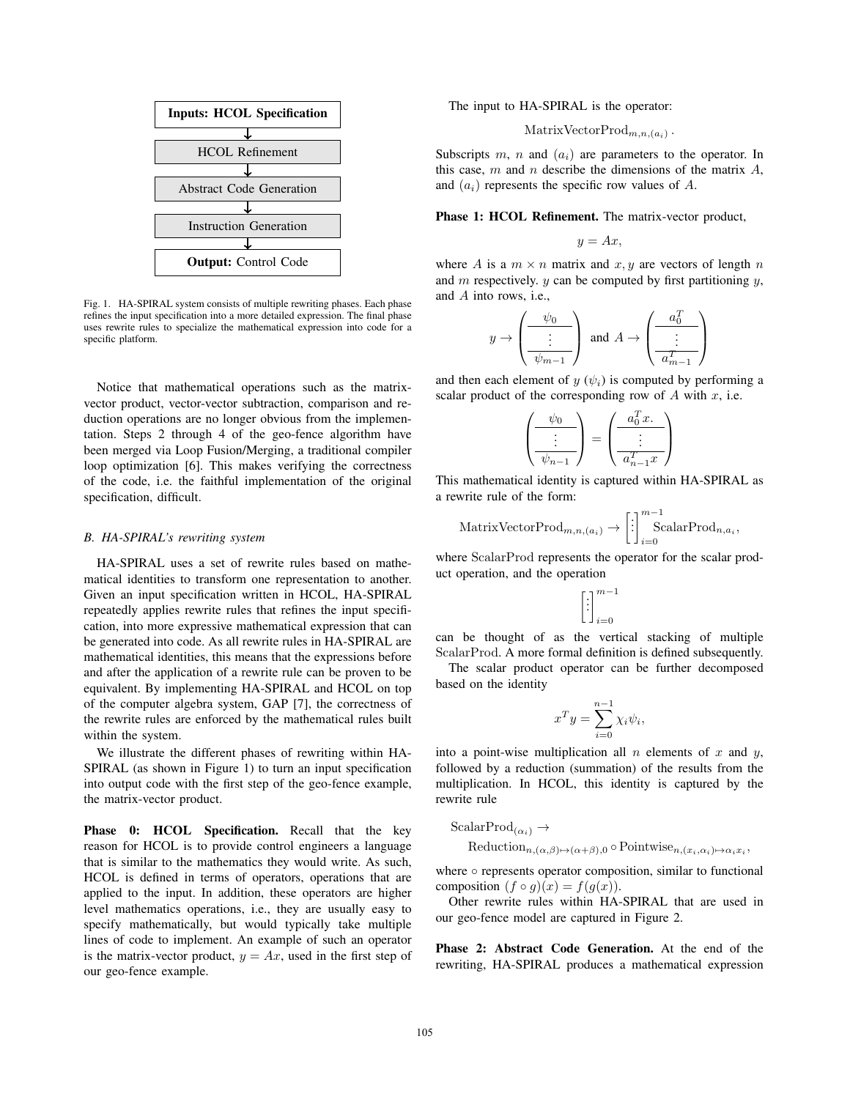

Fig. 1. HA-SPIRAL system consists of multiple rewriting phases. Each phase refines the input specification into a more detailed expression. The final phase uses rewrite rules to specialize the mathematical expression into code for a specific platform.

Notice that mathematical operations such as the matrixvector product, vector-vector subtraction, comparison and reduction operations are no longer obvious from the implementation. Steps 2 through 4 of the geo-fence algorithm have been merged via Loop Fusion/Merging, a traditional compiler loop optimization [6]. This makes verifying the correctness of the code, i.e. the faithful implementation of the original specification, difficult.

#### *B. HA-SPIRAL's rewriting system*

HA-SPIRAL uses a set of rewrite rules based on mathematical identities to transform one representation to another. Given an input specification written in HCOL, HA-SPIRAL repeatedly applies rewrite rules that refines the input specification, into more expressive mathematical expression that can be generated into code. As all rewrite rules in HA-SPIRAL are mathematical identities, this means that the expressions before and after the application of a rewrite rule can be proven to be equivalent. By implementing HA-SPIRAL and HCOL on top of the computer algebra system, GAP [7], the correctness of the rewrite rules are enforced by the mathematical rules built within the system.

We illustrate the different phases of rewriting within HA-SPIRAL (as shown in Figure 1) to turn an input specification into output code with the first step of the geo-fence example, the matrix-vector product.

Phase 0: HCOL Specification. Recall that the key reason for HCOL is to provide control engineers a language that is similar to the mathematics they would write. As such, HCOL is defined in terms of operators, operations that are applied to the input. In addition, these operators are higher level mathematics operations, i.e., they are usually easy to specify mathematically, but would typically take multiple lines of code to implement. An example of such an operator is the matrix-vector product,  $y = Ax$ , used in the first step of our geo-fence example.

The input to HA-SPIRAL is the operator:

# MatrixVectorProd<sub>m,n,(a<sub>i</sub>)</sub>.

Subscripts  $m$ ,  $n$  and  $(a_i)$  are parameters to the operator. In this case,  $m$  and  $n$  describe the dimensions of the matrix  $A$ , and  $(a_i)$  represents the specific row values of A.

Phase 1: HCOL Refinement. The matrix-vector product,

$$
y = Ax,
$$

where A is a  $m \times n$  matrix and x, y are vectors of length n and  $m$  respectively.  $y$  can be computed by first partitioning  $y$ , and A into rows, i.e.,

$$
y \rightarrow \left(\frac{\psi_0}{\frac{\vdots}{\psi_{m-1}}}\right)
$$
 and  $A \rightarrow \left(\frac{a_0^T}{\frac{\vdots}{a_{m-1}^T}}\right)$ 

and then each element of y  $(\psi_i)$  is computed by performing a scalar product of the corresponding row of A with x i.e. scalar product of the corresponding row of  $A$  with  $x$ , i.e.

$$
\left(\frac{\psi_0}{\vdots}{\psi_{n-1}}\right) = \left(\frac{a_0^T x}{\vdots}{\psi_{n-1} x}\right)
$$

This mathematical identity is captured within HA-SPIRAL as a rewrite rule of the form:

MatrixVectorProd<sub>m,n,(a<sub>i</sub>)</sub> 
$$
\rightarrow
$$
  $\left[\begin{array}{c}\cdot\\\cdot\\\cdot\end{array}\right]_{i=0}^{m-1}$ ScalarProd<sub>n,a<sub>i</sub></sub>,

where ScalarProd represents the operator for the scalar product operation, and the operation

$$
\left[\vdots\right]_{i=0}^{m-1}
$$

can be thought of as the vertical stacking of multiple ScalarProd. A more formal definition is defined subsequently.

The scalar product operator can be further decomposed based on the identity

$$
x^T y = \sum_{i=0}^{n-1} \chi_i \psi_i,
$$

into a point-wise multiplication all n elements of x and y,<br>followed by a reduction (summation) of the results from the followed by a reduction (summation) of the results from the multiplication. In HCOL, this identity is captured by the rewrite rule

 $ScalarProd_{(\alpha_i)} \rightarrow$ 

 $\text{Reduction}_{n,(\alpha,\beta)\mapsto(\alpha+\beta),0} \circ \text{Pointwise}_{n,(x_i,\alpha_i)\mapsto\alpha_ix_i},$ 

where ○ represents operator composition, similar to functional composition  $(f \circ g)(x) = f(g(x))$ .

Other rewrite rules within HA-SPIRAL that are used in our geo-fence model are captured in Figure 2.

Phase 2: Abstract Code Generation. At the end of the rewriting, HA-SPIRAL produces a mathematical expression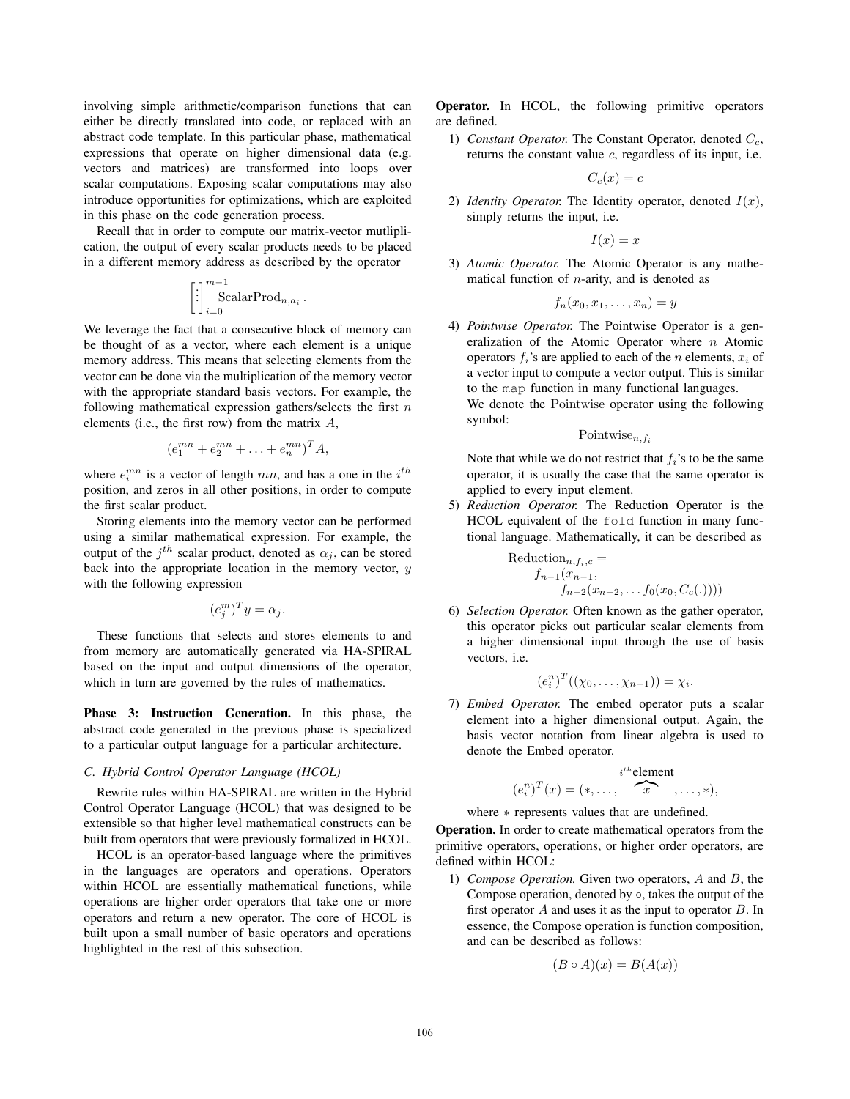involving simple arithmetic/comparison functions that can either be directly translated into code, or replaced with an abstract code template. In this particular phase, mathematical expressions that operate on higher dimensional data (e.g. vectors and matrices) are transformed into loops over scalar computations. Exposing scalar computations may also introduce opportunities for optimizations, which are exploited in this phase on the code generation process.

Recall that in order to compute our matrix-vector mutliplication, the output of every scalar products needs to be placed in a different memory address as described by the operator

$$
\left[\begin{array}{c}\n\vdots \\
\vdots \\
\vdots\n\end{array}\right]_{i=0}^{m-1} \text{ScalarProd}_{n,a_i}.
$$

We leverage the fact that a consecutive block of memory can be thought of as a vector, where each element is a unique memory address. This means that selecting elements from the vector can be done via the multiplication of the memory vector with the appropriate standard basis vectors. For example, the following mathematical expression gathers/selects the first  $n$ elements (i.e., the first row) from the matrix A,

$$
(e_1^{mn} + e_2^{mn} + \ldots + e_n^{mn})^T A,
$$

where  $e_i^{mn}$  is a vector of length mn, and has a one in the  $i^{th}$ <br>position and zeros in all other positions in order to compute position, and zeros in all other positions, in order to compute the first scalar product.

Storing elements into the memory vector can be performed using a similar mathematical expression. For example, the output of the  $i^{th}$  scalar product, denoted as  $\alpha_i$ , can be stored back into the appropriate location in the memory vector,  $y$ with the following expression

$$
(e_j^m)^T y = \alpha_j.
$$

These functions that selects and stores elements to and from memory are automatically generated via HA-SPIRAL based on the input and output dimensions of the operator, which in turn are governed by the rules of mathematics.

Phase 3: Instruction Generation. In this phase, the abstract code generated in the previous phase is specialized to a particular output language for a particular architecture.

# *C. Hybrid Control Operator Language (HCOL)*

Rewrite rules within HA-SPIRAL are written in the Hybrid Control Operator Language (HCOL) that was designed to be extensible so that higher level mathematical constructs can be built from operators that were previously formalized in HCOL.

HCOL is an operator-based language where the primitives in the languages are operators and operations. Operators within HCOL are essentially mathematical functions, while operations are higher order operators that take one or more operators and return a new operator. The core of HCOL is built upon a small number of basic operators and operations highlighted in the rest of this subsection.

Operator. In HCOL, the following primitive operators are defined.

1) *Constant Operator.* The Constant Operator, denoted  $C_c$ , returns the constant value  $c$ , regardless of its input, i.e.

$$
C_c(x)=c
$$

2) *Identity Operator.* The Identity operator, denoted  $I(x)$ , simply returns the input, i.e.

$$
I(x) = x
$$

3) *Atomic Operator.* The Atomic Operator is any mathematical function of  $n$ -arity, and is denoted as

$$
f_n(x_0,x_1,\ldots,x_n)=y
$$

4) *Pointwise Operator.* The Pointwise Operator is a generalization of the Atomic Operator where  $n$  Atomic operators  $f_i$ 's are applied to each of the *n* elements,  $x_i$  of a vector input to compute a vector output. This is similar to the map function in many functional languages. We denote the Pointwise operator using the following symbol:

$$
{\rm Pointwise}_{n,f_i}
$$

Note that while we do not restrict that  $f_i$ 's to be the same operator, it is usually the case that the same operator is applied to every input element.

5) *Reduction Operator.* The Reduction Operator is the HCOL equivalent of the fold function in many functional language. Mathematically, it can be described as

Reduction<sub>n, f<sub>i,c</sub></sub> =  
\n
$$
f_{n-1}(x_{n-1},
$$
  
\n $f_{n-2}(x_{n-2},... f_0(x_0, C_c(.))))$ 

6) *Selection Operator.* Often known as the gather operator, this operator picks out particular scalar elements from a higher dimensional input through the use of basis vectors, i.e.

$$
(e_i^n)^T((\chi_0,\ldots,\chi_{n-1}))=\chi_i.
$$

7) *Embed Operator.* The embed operator puts a scalar element into a higher dimensional output. Again, the basis vector notation from linear algebra is used to denote the Embed operator.

$$
(e_i^n)^T(x) = (*,\ldots, \overbrace{x}^{i^{th}} ,\ldots, *),
$$

where ∗ represents values that are undefined.

Operation. In order to create mathematical operators from the primitive operators, operations, or higher order operators, are defined within HCOL:

1) *Compose Operation.* Given two operators, A and B, the Compose operation, denoted by  $\circ$ , takes the output of the first operator  $A$  and uses it as the input to operator  $B$ . In essence, the Compose operation is function composition, and can be described as follows:

$$
(B \circ A)(x) = B(A(x))
$$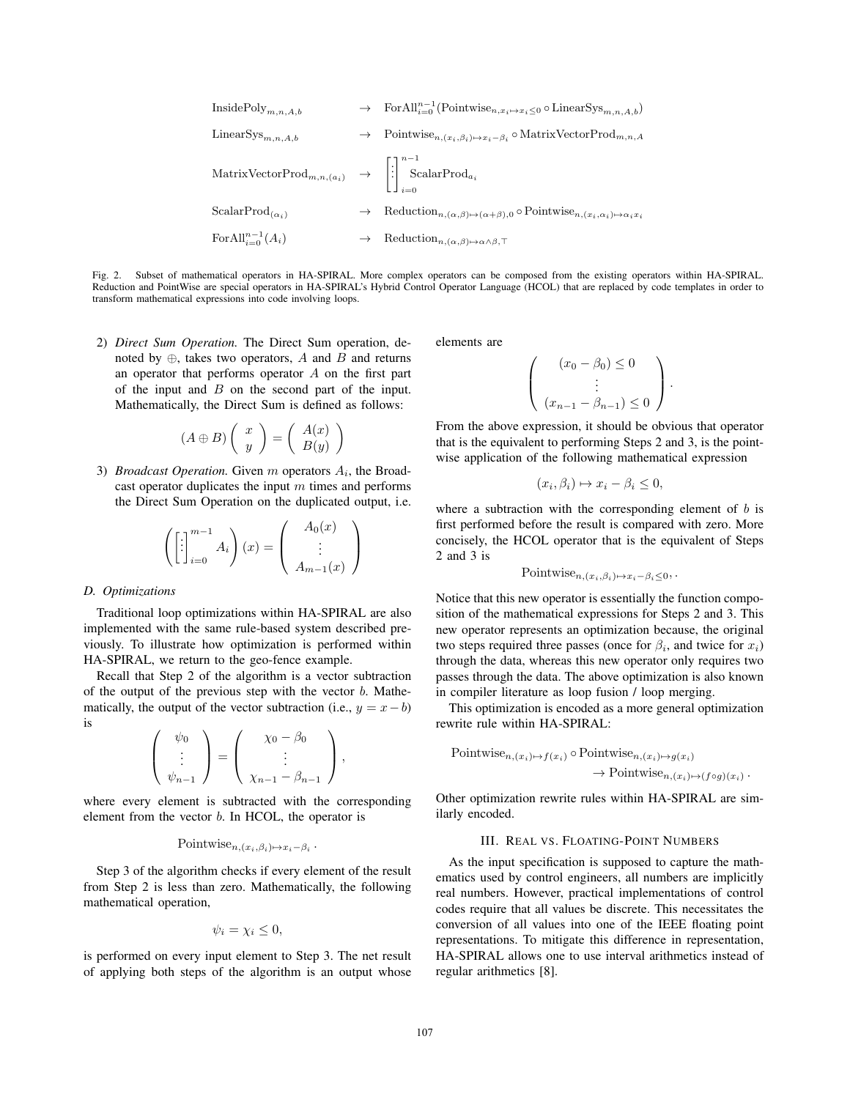$$
\begin{array}{lcl} \text{InsidePoly}_{m,n,A,b} & \rightarrow & \text{ForAll}_{i=0}^{n-1}(\text{Pointwise}_{n,x_i\mapsto x_i\leq 0}\circ \text{LinearSys}_{m,n,A,b})\\ \text{LinearSys}_{m,n,A,b} & \rightarrow & \text{Pointwise}_{n,(x_i,\beta_i)\mapsto x_i-\beta_i}\circ \text{MatrixVectorProd}_{m,n,A}\\ \text{MatrixVectorProd}_{m,n,(a_i)} & \rightarrow & \left[\begin{matrix} \cdot \end{matrix}\right]_{i=0}^{n-1} \text{ScalarProd}_{a_i}\\ \text{ScalarProd}_{(\alpha_i)} & \rightarrow & \text{Reduction}_{n,(\alpha,\beta)\mapsto (\alpha+\beta),0}\circ \text{Pointwise}_{n,(x_i,\alpha_i)\mapsto \alpha_i x_i}\\ \text{ForAll}_{i=0}^{n-1}(A_i) & \rightarrow & \text{Reduction}_{n,(\alpha,\beta)\mapsto \alpha\wedge \beta,\top} \end{array}
$$

Fig. 2. Subset of mathematical operators in HA-SPIRAL. More complex operators can be composed from the existing operators within HA-SPIRAL. Reduction and PointWise are special operators in HA-SPIRAL's Hybrid Control Operator Language (HCOL) that are replaced by code templates in order to transform mathematical expressions into code involving loops.

2) *Direct Sum Operation.* The Direct Sum operation, denoted by  $\oplus$ , takes two operators, A and B and returns an operator that performs operator  $A$  on the first part of the input and  $B$  on the second part of the input. Mathematically, the Direct Sum is defined as follows:

$$
(A \oplus B) \left( \begin{array}{c} x \\ y \end{array} \right) = \left( \begin{array}{c} A(x) \\ B(y) \end{array} \right)
$$

3) *Broadcast Operation.* Given  $m$  operators  $A_i$ , the Broadcast operator duplicates the input  $m$  times and performs the Direct Sum Operation on the duplicated output, i.e.

$$
\left( \left[ \begin{matrix} \vdots \\ \vdots \end{matrix} \right]_{i=0}^{m-1} A_i \right) (x) = \left( \begin{array}{c} A_0(x) \\ \vdots \\ A_{m-1}(x) \end{array} \right)
$$

#### *D. Optimizations*

Traditional loop optimizations within HA-SPIRAL are also implemented with the same rule-based system described previously. To illustrate how optimization is performed within HA-SPIRAL, we return to the geo-fence example.

Recall that Step 2 of the algorithm is a vector subtraction of the output of the previous step with the vector  $b$ . Mathematically, the output of the vector subtraction (i.e.,  $y = x - b$ ) is

$$
\begin{pmatrix} \psi_0 \\ \vdots \\ \psi_{n-1} \end{pmatrix} = \begin{pmatrix} \chi_0 - \beta_0 \\ \vdots \\ \chi_{n-1} - \beta_{n-1} \end{pmatrix},
$$

where every element is subtracted with the corresponding element from the vector b. In HCOL, the operator is

# Pointwise<sub>n</sub>, $(x_i, \beta_i) \mapsto x_i - \beta_i$ .

Step 3 of the algorithm checks if every element of the result from Step 2 is less than zero. Mathematically, the following mathematical operation,

$$
\psi_i = \chi_i \leq 0,
$$

is performed on every input element to Step 3. The net result of applying both steps of the algorithm is an output whose elements are

$$
\begin{pmatrix} (x_0 - \beta_0) \le 0 \\ \vdots \\ (x_{n-1} - \beta_{n-1}) \le 0 \end{pmatrix}.
$$

From the above expression, it should be obvious that operator that is the equivalent to performing Steps 2 and 3, is the pointwise application of the following mathematical expression

$$
(x_i, \beta_i) \mapsto x_i - \beta_i \le 0,
$$

where a subtraction with the corresponding element of  $b$  is first performed before the result is compared with zero. More concisely, the HCOL operator that is the equivalent of Steps 2 and 3 is

$$
Pointwise_{n,(x_i,\beta_i)\mapsto x_i-\beta_i\leq 0},
$$

Notice that this new operator is essentially the function composition of the mathematical expressions for Steps 2 and 3. This new operator represents an optimization because, the original two steps required three passes (once for  $\beta_i$ , and twice for  $x_i$ ) through the data, whereas this new operator only requires two passes through the data. The above optimization is also known in compiler literature as loop fusion / loop merging.

This optimization is encoded as a more general optimization rewrite rule within HA-SPIRAL:

Pointwise<sub>n,(x<sub>i</sub>)\mapsto f(x<sub>i</sub>)</sub> 
$$
\circ
$$
 Pointwise<sub>n,(x<sub>i</sub>)\mapsto g(x<sub>i</sub>)</sub>  
 $\rightarrow$  Pointwise<sub>n,(x<sub>i</sub>)\mapsto (f \circ g)(x<sub>i</sub>)</sub>.

Other optimization rewrite rules within HA-SPIRAL are similarly encoded.

# III. REAL VS. FLOATING-POINT NUMBERS

As the input specification is supposed to capture the mathematics used by control engineers, all numbers are implicitly real numbers. However, practical implementations of control codes require that all values be discrete. This necessitates the conversion of all values into one of the IEEE floating point representations. To mitigate this difference in representation, HA-SPIRAL allows one to use interval arithmetics instead of regular arithmetics [8].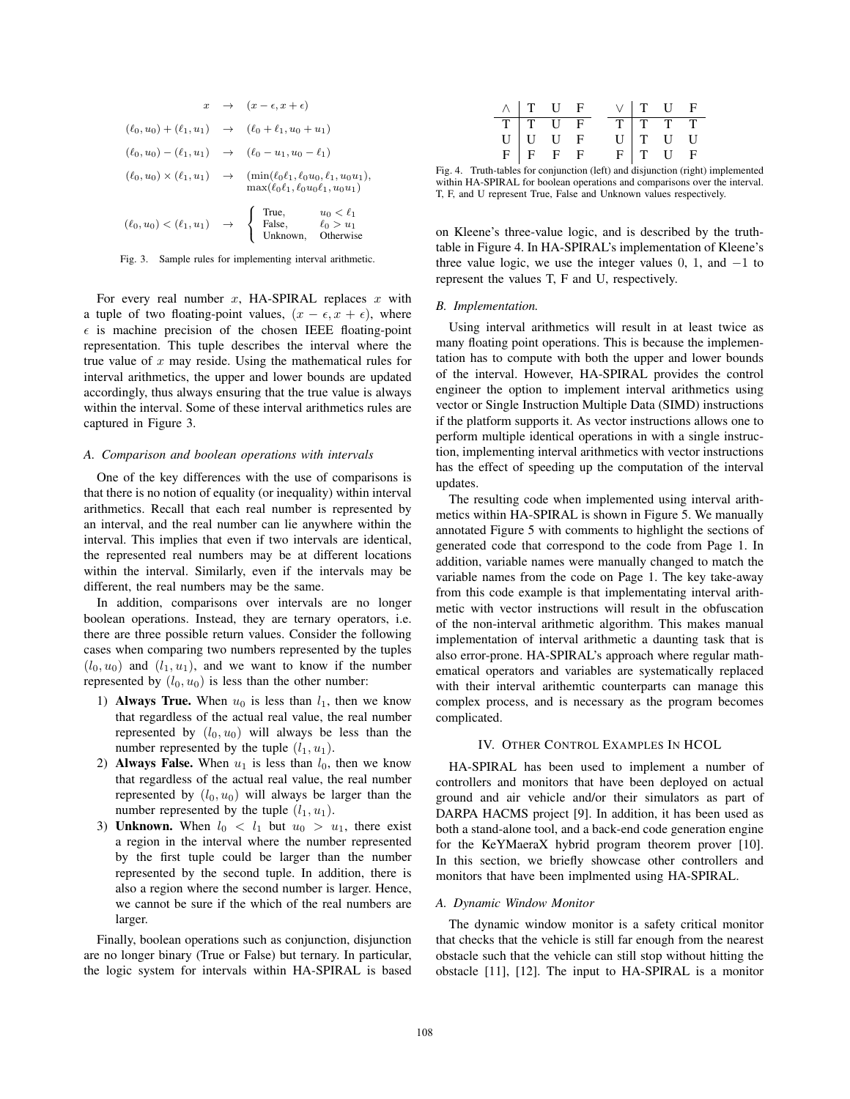$$
x \rightarrow (x - \epsilon, x + \epsilon)
$$
  
\n
$$
(\ell_0, u_0) + (\ell_1, u_1) \rightarrow (\ell_0 + \ell_1, u_0 + u_1)
$$
  
\n
$$
(\ell_0, u_0) - (\ell_1, u_1) \rightarrow (\ell_0 - u_1, u_0 - \ell_1)
$$
  
\n
$$
(\ell_0, u_0) \times (\ell_1, u_1) \rightarrow (\min(\ell_0 \ell_1, \ell_0 u_0, \ell_1, u_0 u_1), \max(\ell_0 \ell_1, \ell_0 u_0 \ell_1, u_0 u_1))
$$
  
\n
$$
(\ell_0, u_0) < (\ell_1, u_1) \rightarrow \begin{cases} \text{True,} & u_0 < \ell_1 \\ \text{False,} & \ell_0 > u_1 \\ \text{Unknown, Otherwise} \end{cases}
$$



For every real number  $x$ , HA-SPIRAL replaces  $x$  with a tuple of two floating-point values,  $(x - \epsilon, x + \epsilon)$ , where  $\epsilon$  is machine precision of the chosen IEEE floating-point representation. This tuple describes the interval where the true value of  $x$  may reside. Using the mathematical rules for interval arithmetics, the upper and lower bounds are updated accordingly, thus always ensuring that the true value is always within the interval. Some of these interval arithmetics rules are captured in Figure 3.

#### *A. Comparison and boolean operations with intervals*

One of the key differences with the use of comparisons is that there is no notion of equality (or inequality) within interval arithmetics. Recall that each real number is represented by an interval, and the real number can lie anywhere within the interval. This implies that even if two intervals are identical, the represented real numbers may be at different locations within the interval. Similarly, even if the intervals may be different, the real numbers may be the same.

In addition, comparisons over intervals are no longer boolean operations. Instead, they are ternary operators, i.e. there are three possible return values. Consider the following cases when comparing two numbers represented by the tuples  $(l_0, u_0)$  and  $(l_1, u_1)$ , and we want to know if the number represented by  $(l_0, u_0)$  is less than the other number:

- 1) **Always True.** When  $u_0$  is less than  $l_1$ , then we know that regardless of the actual real value, the real number represented by  $(l_0, u_0)$  will always be less than the number represented by the tuple  $(l_1, u_1)$ .
- 2) Always False. When  $u_1$  is less than  $l_0$ , then we know that regardless of the actual real value, the real number represented by  $(l_0, u_0)$  will always be larger than the number represented by the tuple  $(l_1, u_1)$ .
- 3) Unknown. When  $l_0 < l_1$  but  $u_0 > u_1$ , there exist a region in the interval where the number represented by the first tuple could be larger than the number represented by the second tuple. In addition, there is also a region where the second number is larger. Hence, we cannot be sure if the which of the real numbers are larger.

Finally, boolean operations such as conjunction, disjunction are no longer binary (True or False) but ternary. In particular, the logic system for intervals within HA-SPIRAL is based

|  | $\wedge$   T U F                                                                      |  |  | $V$   T U F                                                                              |  |
|--|---------------------------------------------------------------------------------------|--|--|------------------------------------------------------------------------------------------|--|
|  |                                                                                       |  |  |                                                                                          |  |
|  |                                                                                       |  |  |                                                                                          |  |
|  | $\begin{tabular}{c cc} T & T & U & F \\ U & U & U & F \\ F & F & F & F \end{tabular}$ |  |  | $\begin{tabular}{c cc} T & T & T & T \\ U & T & U & U \\ F & T & U & F \\ \end{tabular}$ |  |

Fig. 4. Truth-tables for conjunction (left) and disjunction (right) implemented within HA-SPIRAL for boolean operations and comparisons over the interval. T, F, and U represent True, False and Unknown values respectively.

on Kleene's three-value logic, and is described by the truthtable in Figure 4. In HA-SPIRAL's implementation of Kleene's three value logic, we use the integer values 0, 1, and  $-1$  to represent the values T, F and U, respectively.

#### *B. Implementation.*

Using interval arithmetics will result in at least twice as many floating point operations. This is because the implementation has to compute with both the upper and lower bounds of the interval. However, HA-SPIRAL provides the control engineer the option to implement interval arithmetics using vector or Single Instruction Multiple Data (SIMD) instructions if the platform supports it. As vector instructions allows one to perform multiple identical operations in with a single instruction, implementing interval arithmetics with vector instructions has the effect of speeding up the computation of the interval updates.

The resulting code when implemented using interval arithmetics within HA-SPIRAL is shown in Figure 5. We manually annotated Figure 5 with comments to highlight the sections of generated code that correspond to the code from Page 1. In addition, variable names were manually changed to match the variable names from the code on Page 1. The key take-away from this code example is that implementating interval arithmetic with vector instructions will result in the obfuscation of the non-interval arithmetic algorithm. This makes manual implementation of interval arithmetic a daunting task that is also error-prone. HA-SPIRAL's approach where regular mathematical operators and variables are systematically replaced with their interval arithemtic counterparts can manage this complex process, and is necessary as the program becomes complicated.

#### IV. OTHER CONTROL EXAMPLES IN HCOL

HA-SPIRAL has been used to implement a number of controllers and monitors that have been deployed on actual ground and air vehicle and/or their simulators as part of DARPA HACMS project [9]. In addition, it has been used as both a stand-alone tool, and a back-end code generation engine for the KeYMaeraX hybrid program theorem prover [10]. In this section, we briefly showcase other controllers and monitors that have been implmented using HA-SPIRAL.

#### *A. Dynamic Window Monitor*

The dynamic window monitor is a safety critical monitor that checks that the vehicle is still far enough from the nearest obstacle such that the vehicle can still stop without hitting the obstacle [11], [12]. The input to HA-SPIRAL is a monitor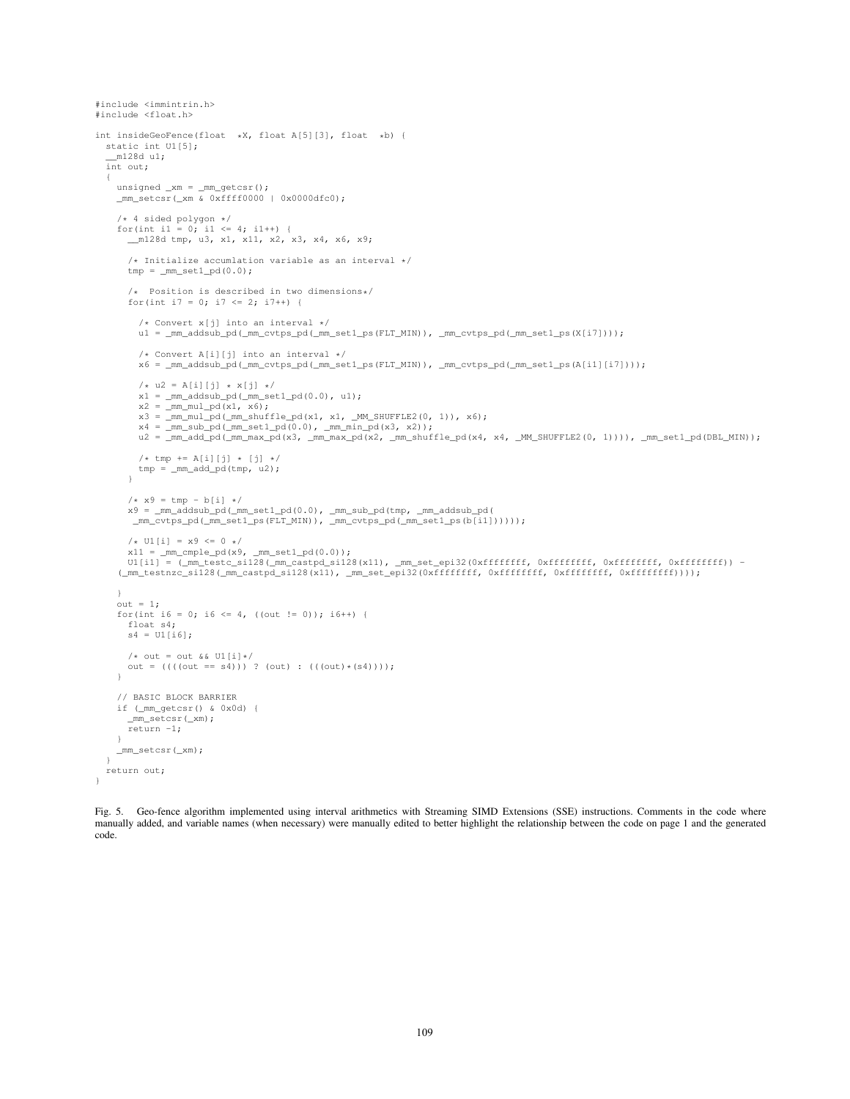```
#include <immintrin.h>
#include <float.h>
int insideGeoFence(float *X, float A[5][3], float *b) {
  static int U1[5];
  __m128d u1;
  int out;
  {
    unsigned x = \text{mm}_\text{getcsr}();
    \frac{1}{2} mm_setcsr(\frac{1}{2} xm & 0xffff0000 | 0x0000dfc0);
    /* 4 sided polygon */
    for(int i1 = 0; i1 <= 4; i1++) {
        __m128d tmp, u3, x1, x11, x2, x3, x4, x6, x9;
      /* Initialize accumlation variable as an interval */tmp = \text{mm_set1\_pd}(0.0);/* Position is described in two dimensions*/
      for(int i7 = 0; i7 <= 2; i7++) {
         /* Convert x[j] into an interval */
        u1 = _mm_addsub_pd(_mm_cvtps_pd(_mm_set1_ps(FLT_MIN)), _mm_cvtps_pd(_mm_set1_ps(X[i7])));
         /* Convert A[i][j] into an interval */x6 = _mm_addsub_pd(_mm_cvtps_pd(_mm_set1_ps(FLT_MIN)), _mm_cvtps_pd(_mm_set1_ps(A[i1][i7])));
        /* u2 = A[i][j] * x[j] */
        x1 = \text{mm\_addsub\_pd}(\text{mm\_set1\_pd}(0.0), u1);x2 = \text{mm\_mul\_pd}(x1, x6);x3 = \text{mm\_mul\_pd}(\text{mm\_shuffle\_pd}(x1, x1, \text{mm\_SHUFFLE2}(0, 1)), x6);x4 = \text{mm\_sub\_pd}(\text{mm\_set1\_pd}(0.0), \text{mm\_min\_pd}(x3, x2));u2 = _mm_add_pd(_mm_max_pd(x3, _mm_max_pd(x2, _mm_shuffle_pd(x4, x4, _MM_SHUFFLE2(0, 1)))), _mm_set1_pd(DBL_MIN));
         /* tmp  += A[i][j] * [j] */tmp = \text{mm\_add\_pd} (tmp, u2);}
      /\star x9 = tmp - b[i] \star/x9 = \text{mm\_addsub\_pd}(\text{mm\_set1\_pd}(0.0), \text{mm\_sub\_pd}(\text{tmp}, \text{mm\_addsub\_pd}(\text{mm}))._mm_cvtps_pd(_mm_set1_ps(FLT_MIN)), _mm_cvtps_pd(_mm_set1_ps(b[i1])))));
      /* Ul[i] = x9 <= 0 */
      x11 = \text{mm\_ample\_pd}(x9, \text{mm\_set1\_pd}(0.0));U1[i1] = (_mm_testc_si128(_mm_castpd_si128(x11), _mm_set_epi32(0xffffffff, 0xfffffffff, 0xfffffffff, 0xfffffffff)) -
    (_mm_testnzc_si128(_mm_castpd_si128(x11), _mm_set_epi32(0xffffffff, 0xffffffff, 0xffffffff, 0xffffffff))));
    }
out = 1;
    for(int i6 = 0; i6 <= 4, ((out != 0)); i6++) {
      float s4;
      s4 = U1[i6];/* out = out & & U1[i]*/out = (((out == s4))) ? (out) : ((out) * (s4)));
    }
    // BASIC BLOCK BARRIER
    if ( mm getcsr() & 0x0d) {
      _mm_setcsr(_xm);
      return -1;}
    _mm_setcsr(_xm);
  }
  return out;
}
```
Fig. 5. Geo-fence algorithm implemented using interval arithmetics with Streaming SIMD Extensions (SSE) instructions. Comments in the code where manually added, and variable names (when necessary) were manually edited to better highlight the relationship between the code on page 1 and the generated code.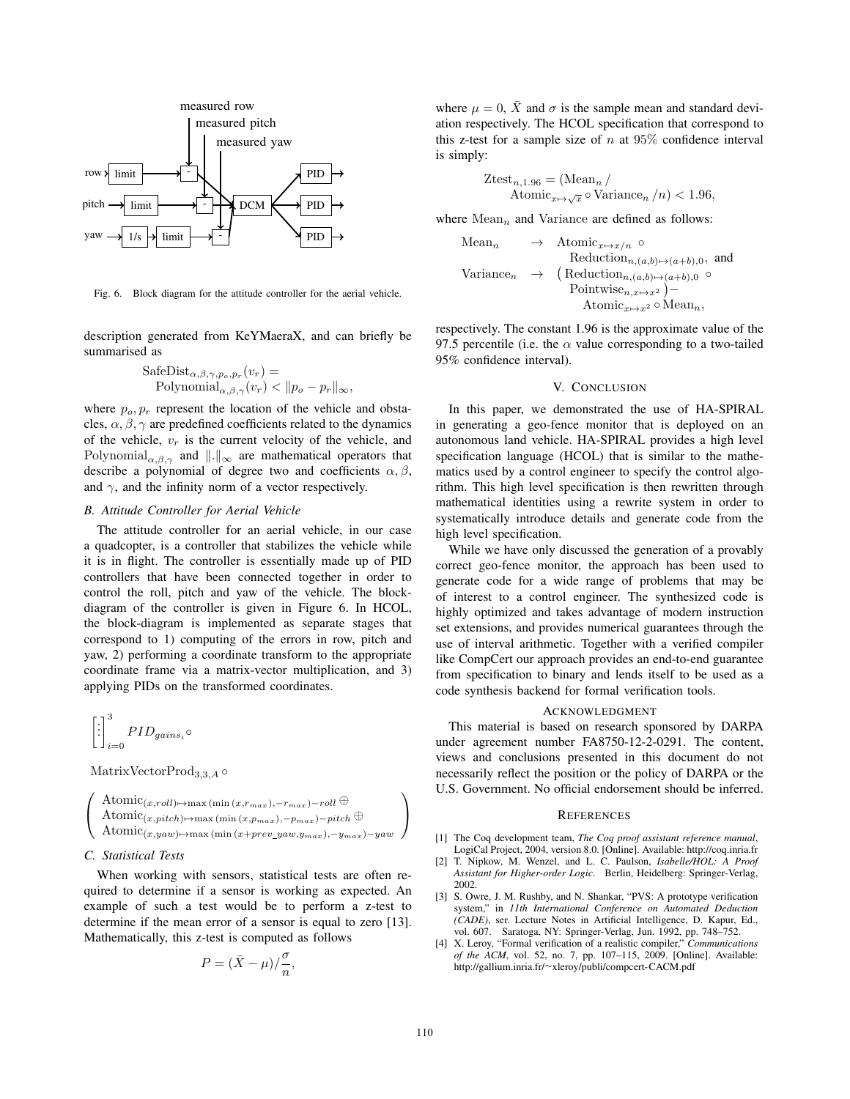

Fig. 6. Block diagram for the attitude controller for the aerial vehicle.

description generated from KeYMaeraX, and can briefly be summarised as

$$
\begin{aligned} \text{SafeDist}_{\alpha, \beta, \gamma, p_o, p_r}(v_r) &= \\ \text{Polynomial}_{\alpha, \beta, \gamma}(v_r) < \|p_o - p_r\|_{\infty}, \end{aligned}
$$

where  $p<sub>o</sub>, p<sub>r</sub>$  represent the location of the vehicle and obstacles,  $\alpha$ ,  $\beta$ ,  $\gamma$  are predefined coefficients related to the dynamics of the vehicle,  $v_r$  is the current velocity of the vehicle, and Polynomial $\alpha, \beta, \gamma$  and  $\|\cdot\|_{\infty}$  are mathematical operators that describe a polynomial of degree two and coefficients  $\alpha, \beta$ describe a polynomial of degree two and coefficients  $\alpha, \beta$ , and  $\gamma$ , and the infinity norm of a vector respectively.

# *B. Attitude Controller for Aerial Vehicle*

The attitude controller for an aerial vehicle, in our case a quadcopter, is a controller that stabilizes the vehicle while it is in flight. The controller is essentially made up of PID controllers that have been connected together in order to control the roll, pitch and yaw of the vehicle. The blockdiagram of the controller is given in Figure 6. In HCOL, the block-diagram is implemented as separate stages that correspond to 1) computing of the errors in row, pitch and yaw, 2) performing a coordinate transform to the appropriate coordinate frame via a matrix-vector multiplication, and 3) applying PIDs on the transformed coordinates.

$$
\left[\begin{smallmatrix}\vdots\\ \vdots\\ \vdots\\ \vdots\end{smallmatrix}\right]_{i=0}^{3} PID_{gains_i} \circ
$$

MatrixVectorProd<sub>3,3,4</sub>  $\circ$ 

$$
\left(\begin{array}{c}\text{Atomic}(x, roll) \mapsto \max\left(\min{(x, r_{max})}, -r_{max}\right) - roll \oplus \\ \text{Atomic}(x, pitch) \mapsto \max\left(\min{(x, p_{max})}, -p_{max}\right) - pitch \oplus \\ \text{Atomic}(x, yaw) \mapsto \max\left(\min{(x + prev\_yaw, y_{max})}, -y_{max}\right) - yaw\end{array}\right)
$$

#### *C. Statistical Tests*

When working with sensors, statistical tests are often required to determine if a sensor is working as expected. An example of such a test would be to perform a z-test to determine if the mean error of a sensor is equal to zero [13]. Mathematically, this z-test is computed as follows

$$
P = (\bar{X} - \mu) / \frac{\sigma}{n},
$$

where  $\mu = 0$ ,  $\bar{X}$  and  $\sigma$  is the sample mean and standard deviation respectively. The HCOL specification that correspond to this z-test for a sample size of n at  $95\%$  confidence interval is simply:

$$
Ztest_{n,1.96} = (\text{Mean}_n / \text{Atomic}_{x \mapsto \sqrt{x}} \circ \text{Variance}_n / n) < 1.96,
$$

where  $Mean_n$  and Variance are defined as follows:

Mean<sub>n</sub> 
$$
\rightarrow
$$
 Atomic<sub>x\mapsto x/n</sub>  $\circ$   
\nReduction<sub>n,(a,b)\mapsto(a+b),0</sub>, and  
\nVariance<sub>n</sub>  $\rightarrow$  (Reduction<sub>n,(a,b)\mapsto(a+b),0</sub>  $\circ$   
\nPointwise<sub>n,x\mapsto x^2</sub> )  
\nAtomic<sub>x\mapsto x^2</sub>  $\circ$  Mean<sub>n</sub>,

respectively. The constant 1.96 is the approximate value of the 97.5 percentile (i.e. the  $\alpha$  value corresponding to a two-tailed 95% confidence interval).

#### V. CONCLUSION

In this paper, we demonstrated the use of HA-SPIRAL in generating a geo-fence monitor that is deployed on an autonomous land vehicle. HA-SPIRAL provides a high level specification language (HCOL) that is similar to the mathematics used by a control engineer to specify the control algorithm. This high level specification is then rewritten through mathematical identities using a rewrite system in order to systematically introduce details and generate code from the high level specification.

While we have only discussed the generation of a provably correct geo-fence monitor, the approach has been used to generate code for a wide range of problems that may be of interest to a control engineer. The synthesized code is highly optimized and takes advantage of modern instruction set extensions, and provides numerical guarantees through the use of interval arithmetic. Together with a verified compiler like CompCert our approach provides an end-to-end guarantee from specification to binary and lends itself to be used as a code synthesis backend for formal verification tools.

#### ACKNOWLEDGMENT

This material is based on research sponsored by DARPA under agreement number FA8750-12-2-0291. The content, views and conclusions presented in this document do not necessarily reflect the position or the policy of DARPA or the U.S. Government. No official endorsement should be inferred.

#### **REFERENCES**

- [1] The Coq development team, *The Coq proof assistant reference manual*, LogiCal Project, 2004, version 8.0. [Online]. Available: http://coq.inria.fr
- [2] T. Nipkow, M. Wenzel, and L. C. Paulson, *Isabelle/HOL: A Proof Assistant for Higher-order Logic*. Berlin, Heidelberg: Springer-Verlag, 2002.
- [3] S. Owre, J. M. Rushby, and N. Shankar, "PVS: A prototype verification system," in *11th International Conference on Automated Deduction (CADE)*, ser. Lecture Notes in Artificial Intelligence, D. Kapur, Ed., vol. 607. Saratoga, NY: Springer-Verlag, Jun. 1992, pp. 748–752.
- [4] X. Leroy, "Formal verification of a realistic compiler," *Communications of the ACM*, vol. 52, no. 7, pp. 107–115, 2009. [Online]. Available: http://gallium.inria.fr/∼xleroy/publi/compcert-CACM.pdf